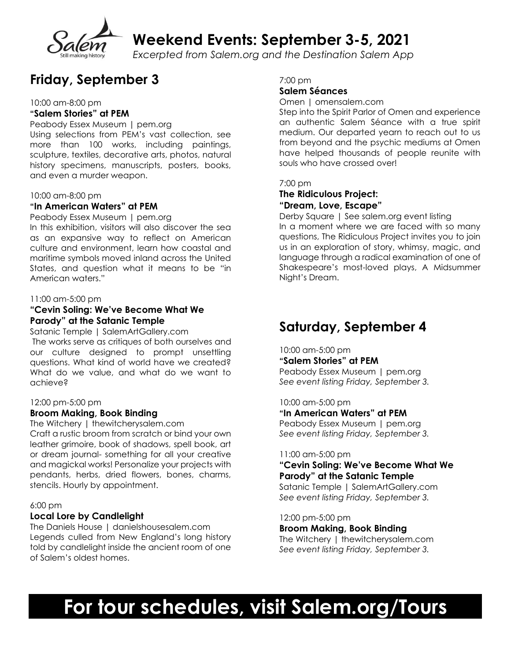

**Weekend Events: September 3-5, 2021**

*Excerpted from Salem.org and the Destination Salem App*

### **Friday, September 3**

10:00 am-8:00 pm

#### **"Salem Stories" at PEM**

Peabody Essex Museum | pem.org Using selections from PEM's vast collection, see more than 100 works, including paintings, sculpture, textiles, decorative arts, photos, natural history specimens, manuscripts, posters, books, and even a murder weapon.

#### 10:00 am-8:00 pm

#### **"In American Waters" at PEM**

Peabody Essex Museum | pem.org

In this exhibition, visitors will also discover the sea as an expansive way to reflect on American culture and environment, learn how coastal and maritime symbols moved inland across the United States, and question what it means to be "in American waters."

#### 11:00 am-5:00 pm

#### **"Cevin Soling: We've Become What We Parody" at the Satanic Temple**

Satanic Temple | SalemArtGallery.com The works serve as critiques of both ourselves and our culture designed to prompt unsettling questions. What kind of world have we created? What do we value, and what do we want to achieve?

#### 12:00 pm-5:00 pm

#### **Broom Making, Book Binding**

The Witchery | thewitcherysalem.com Craft a rustic broom from scratch or bind your own leather grimoire, book of shadows, spell book, art or dream journal- something for all your creative and magickal works! Personalize your projects with pendants, herbs, dried flowers, bones, charms, stencils. Hourly by appointment.

#### 6:00 pm

#### **Local Lore by Candlelight**

The Daniels House | danielshousesalem.com Legends culled from New England's long history told by candlelight inside the ancient room of one of Salem's oldest homes.

7:00 pm

#### **Salem Séances**

Omen | omensalem.com

Step into the Spirit Parlor of Omen and experience an authentic Salem Séance with a true spirit medium. Our departed yearn to reach out to us from beyond and the psychic mediums at Omen have helped thousands of people reunite with souls who have crossed over!

#### 7:00 pm

#### **The Ridiculous Project: "Dream, Love, Escape"**

Derby Square | See salem.org event listing In a moment where we are faced with so many questions, The Ridiculous Project invites you to join us in an exploration of story, whimsy, magic, and language through a radical examination of one of Shakespeare's most-loved plays, A Midsummer Night's Dream.

### **Saturday, September 4**

10:00 am-5:00 pm **"Salem Stories" at PEM** Peabody Essex Museum | pem.org *See event listing Friday, September 3.*

10:00 am-5:00 pm

#### **"In American Waters" at PEM**

Peabody Essex Museum | pem.org *See event listing Friday, September 3.*

#### 11:00 am-5:00 pm

#### **"Cevin Soling: We've Become What We Parody" at the Satanic Temple**

Satanic Temple | SalemArtGallery.com *See event listing Friday, September 3.*

#### 12:00 pm-5:00 pm

**Broom Making, Book Binding** The Witchery | thewitcherysalem.com *See event listing Friday, September 3.*

# **For tour schedules, visit Salem.org/Tours**